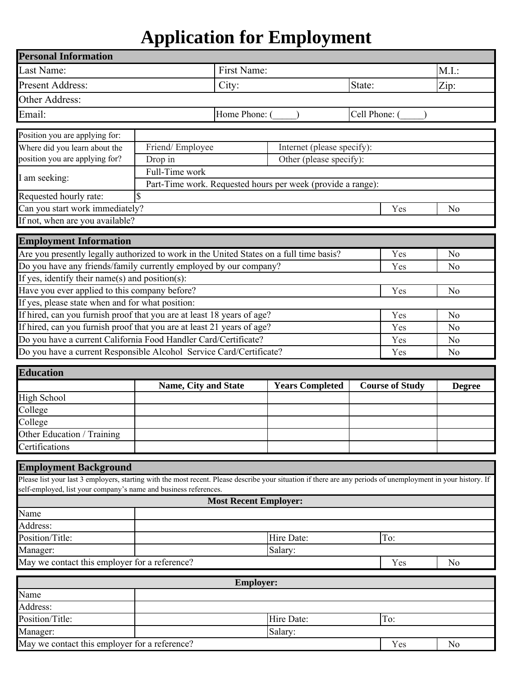# **Application for Employment**

| <b>Personal Information</b>                                                                                                                                   |                             |                              |                                                             |             |                        |                                  |
|---------------------------------------------------------------------------------------------------------------------------------------------------------------|-----------------------------|------------------------------|-------------------------------------------------------------|-------------|------------------------|----------------------------------|
| Last Name:                                                                                                                                                    | First Name:                 |                              |                                                             |             | M.I.                   |                                  |
| <b>Present Address:</b>                                                                                                                                       | City:                       |                              |                                                             | State:      |                        | Zip:                             |
| Other Address:                                                                                                                                                |                             |                              |                                                             |             |                        |                                  |
| Email:<br>Home Phone:                                                                                                                                         |                             |                              |                                                             | Cell Phone: |                        |                                  |
|                                                                                                                                                               |                             |                              |                                                             |             |                        |                                  |
| Position you are applying for:                                                                                                                                |                             |                              |                                                             |             |                        |                                  |
| Where did you learn about the                                                                                                                                 | Friend/Employee             |                              | Internet (please specify):                                  |             |                        |                                  |
| position you are applying for?                                                                                                                                | Drop in                     |                              | Other (please specify):                                     |             |                        |                                  |
| I am seeking:                                                                                                                                                 | Full-Time work              |                              |                                                             |             |                        |                                  |
| Requested hourly rate:                                                                                                                                        | \$                          |                              | Part-Time work. Requested hours per week (provide a range): |             |                        |                                  |
| Can you start work immediately?                                                                                                                               |                             |                              |                                                             |             | Yes                    | N <sub>0</sub>                   |
| If not, when are you available?                                                                                                                               |                             |                              |                                                             |             |                        |                                  |
|                                                                                                                                                               |                             |                              |                                                             |             |                        |                                  |
| <b>Employment Information</b>                                                                                                                                 |                             |                              |                                                             |             |                        |                                  |
| Are you presently legally authorized to work in the United States on a full time basis?                                                                       |                             |                              |                                                             |             | Yes                    | N <sub>o</sub>                   |
| Do you have any friends/family currently employed by our company?                                                                                             |                             |                              |                                                             |             | Yes                    | N <sub>o</sub>                   |
| If yes, identify their name(s) and position(s):                                                                                                               |                             |                              |                                                             |             |                        |                                  |
| Have you ever applied to this company before?                                                                                                                 |                             |                              |                                                             |             | Yes                    | N <sub>0</sub>                   |
| If yes, please state when and for what position:                                                                                                              |                             |                              |                                                             |             |                        |                                  |
| If hired, can you furnish proof that you are at least 18 years of age?                                                                                        |                             |                              |                                                             |             | Yes                    | N <sub>o</sub>                   |
| If hired, can you furnish proof that you are at least 21 years of age?<br>Do you have a current California Food Handler Card/Certificate?                     |                             |                              |                                                             |             | Yes                    | N <sub>o</sub>                   |
| Do you have a current Responsible Alcohol Service Card/Certificate?                                                                                           |                             |                              |                                                             |             | Yes<br>Yes             | N <sub>o</sub><br>N <sub>0</sub> |
|                                                                                                                                                               |                             |                              |                                                             |             |                        |                                  |
| <b>Education</b>                                                                                                                                              |                             |                              |                                                             |             |                        |                                  |
|                                                                                                                                                               | <b>Name, City and State</b> |                              | <b>Years Completed</b>                                      |             | <b>Course of Study</b> | <b>Degree</b>                    |
| <b>High School</b>                                                                                                                                            |                             |                              |                                                             |             |                        |                                  |
| College                                                                                                                                                       |                             |                              |                                                             |             |                        |                                  |
| College                                                                                                                                                       |                             |                              |                                                             |             |                        |                                  |
| Other Education / Training                                                                                                                                    |                             |                              |                                                             |             |                        |                                  |
| Certifications                                                                                                                                                |                             |                              |                                                             |             |                        |                                  |
| <b>Employment Background</b>                                                                                                                                  |                             |                              |                                                             |             |                        |                                  |
| Please list your last 3 employers, starting with the most recent. Please describe your situation if there are any periods of unemployment in your history. If |                             |                              |                                                             |             |                        |                                  |
| self-employed, list your company's name and business references.                                                                                              |                             |                              |                                                             |             |                        |                                  |
|                                                                                                                                                               |                             | <b>Most Recent Employer:</b> |                                                             |             |                        |                                  |
| Name                                                                                                                                                          |                             |                              |                                                             |             |                        |                                  |
| Address:<br>Position/Title:                                                                                                                                   |                             |                              | Hire Date:                                                  | To:         |                        |                                  |
| Manager:                                                                                                                                                      |                             |                              |                                                             |             |                        |                                  |
| May we contact this employer for a reference?                                                                                                                 |                             |                              | Salary:                                                     |             | Yes                    | N <sub>0</sub>                   |
|                                                                                                                                                               |                             |                              |                                                             |             |                        |                                  |
|                                                                                                                                                               |                             | <b>Employer:</b>             |                                                             |             |                        |                                  |
|                                                                                                                                                               |                             |                              |                                                             |             |                        |                                  |
| Name                                                                                                                                                          |                             |                              |                                                             |             |                        |                                  |
| Address:                                                                                                                                                      |                             |                              |                                                             |             |                        |                                  |
| Position/Title:                                                                                                                                               |                             |                              | Hire Date:                                                  | To:         |                        |                                  |
| Manager:<br>May we contact this employer for a reference?                                                                                                     |                             |                              | Salary:                                                     |             | Yes                    | N <sub>o</sub>                   |

|  |  |  |  | May we contact this employer for a reference? |
|--|--|--|--|-----------------------------------------------|
|--|--|--|--|-----------------------------------------------|